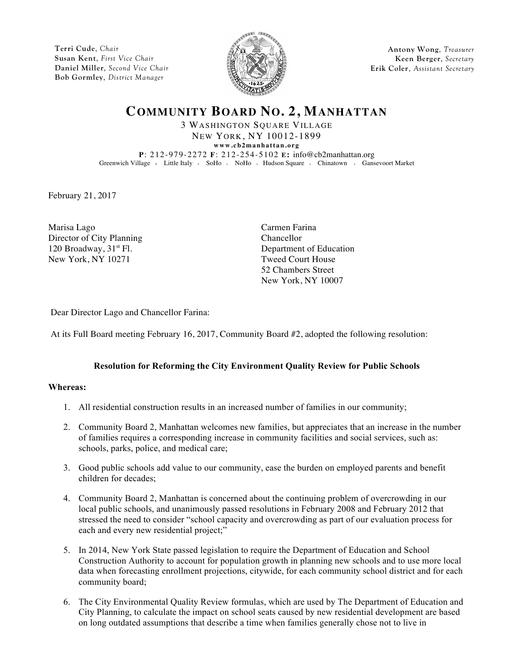**Terri Cude**, *Chair* **Susan Kent**, *First Vice Chair* **Daniel Miller**, *Second Vice Chair* **Bob Gormley**, *District Manager*



**Antony Wong**, *Treasurer* **Keen Berger**, *Secretary* **Erik Coler**, *Assistant Secretary*

# **COMMUNITY BOARD NO. 2, MANHATTAN**

3 WASHINGTON SQUARE VILLAGE NEW YORK, NY 10012-1899 **www.cb2manhattan.org P**: 212-979-2272 **F**: 212-254-5102 **E:** info@cb2manhattan.org Greenwich Village v Little Italy v SoHo v NoHo v Hudson Square v Chinatown v Gansevoort Market

February 21, 2017

Marisa Lago Carmen Farina Director of City Planning<br>
120 Broadway, 31<sup>st</sup> Fl. Department New York, NY 10271 Tweed Court House

Department of Education 52 Chambers Street New York, NY 10007

Dear Director Lago and Chancellor Farina:

At its Full Board meeting February 16, 2017, Community Board #2, adopted the following resolution:

### **Resolution for Reforming the City Environment Quality Review for Public Schools**

#### **Whereas:**

- 1. All residential construction results in an increased number of families in our community;
- 2. Community Board 2, Manhattan welcomes new families, but appreciates that an increase in the number of families requires a corresponding increase in community facilities and social services, such as: schools, parks, police, and medical care;
- 3. Good public schools add value to our community, ease the burden on employed parents and benefit children for decades;
- 4. Community Board 2, Manhattan is concerned about the continuing problem of overcrowding in our local public schools, and unanimously passed resolutions in February 2008 and February 2012 that stressed the need to consider "school capacity and overcrowding as part of our evaluation process for each and every new residential project;"
- 5. In 2014, New York State passed legislation to require the Department of Education and School Construction Authority to account for population growth in planning new schools and to use more local data when forecasting enrollment projections, citywide, for each community school district and for each community board;
- 6. The City Environmental Quality Review formulas, which are used by The Department of Education and City Planning, to calculate the impact on school seats caused by new residential development are based on long outdated assumptions that describe a time when families generally chose not to live in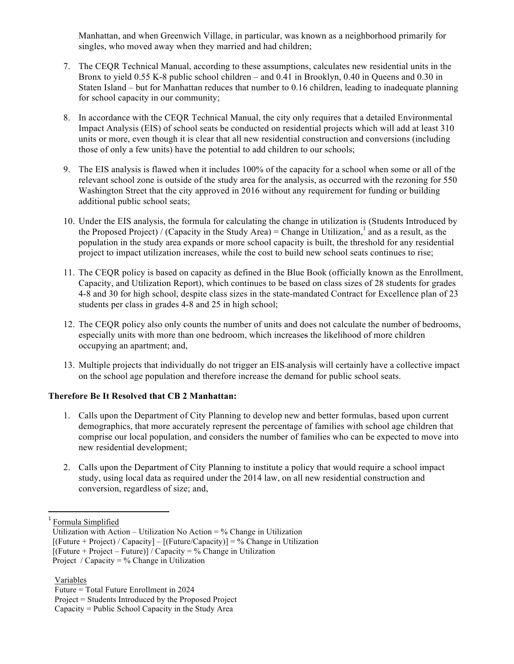Manhattan, and when Greenwich Village, in particular, was known as a neighborhood primarily for singles, who moved away when they married and had children;

- 7. The CEQR Technical Manual, according to these assumptions, calculates new residential units in the Bronx to yield 0.55 K-8 public school children – and 0.41 in Brooklyn, 0.40 in Queens and 0.30 in Staten Island – but for Manhattan reduces that number to 0.16 children, leading to inadequate planning for school capacity in our community;
- 8. In accordance with the CEQR Technical Manual, the city only requires that a detailed Environmental Impact Analysis (EIS) of school seats be conducted on residential projects which will add at least 310 units or more, even though it is clear that all new residential construction and conversions (including those of only a few units) have the potential to add children to our schools;
- 9. The EIS analysis is flawed when it includes 100% of the capacity for a school when some or all of the relevant school zone is outside of the study area for the analysis, as occurred with the rezoning for 550 Washington Street that the city approved in 2016 without any requirement for funding or building additional public school seats;
- 10. Under the EIS analysis, the formula for calculating the change in utilization is (Students Introduced by the Proposed Project) / (Capacity in the Study Area) = Change in Utilization,<sup>1</sup> and as a result, as the population in the study area expands or more school capacity is built, the threshold for any residential project to impact utilization increases, while the cost to build new school seats continues to rise;
- 11. The CEQR policy is based on capacity as defined in the Blue Book (officially known as the Enrollment, Capacity, and Utilization Report), which continues to be based on class sizes of 28 students for grades 4-8 and 30 for high school, despite class sizes in the state-mandated Contract for Excellence plan of 23 students per class in grades 4-8 and 25 in high school;
- 12. The CEQR policy also only counts the number of units and does not calculate the number of bedrooms, especially units with more than one bedroom, which increases the likelihood of more children occupying an apartment; and,
- 13. Multiple projects that individually do not trigger an EIS analysis will certainly have a collective impact on the school age population and therefore increase the demand for public school seats.

## **Therefore Be It Resolved that CB 2 Manhattan:**

- 1. Calls upon the Department of City Planning to develop new and better formulas, based upon current demographics, that more accurately represent the percentage of families with school age children that comprise our local population, and considers the number of families who can be expected to move into new residential development;
- 2. Calls upon the Department of City Planning to institute a policy that would require a school impact study, using local data as required under the 2014 law, on all new residential construction and conversion, regardless of size; and,

 $\overline{a}$ 

<sup>&</sup>lt;sup>1</sup> Formula Simplified

Utilization with Action – Utilization No Action =  $%$  Change in Utilization

 $[(Future + Project) / Capacity] - [(Future/ Capacity)] = % Change in Utilization$ 

 $[(Future + Project - Future)] / Capacity = % Change in Utilization]$ 

Project / Capacity =  $%$  Change in Utilization

Variables

Future = Total Future Enrollment in 2024

Project = Students Introduced by the Proposed Project

Capacity = Public School Capacity in the Study Area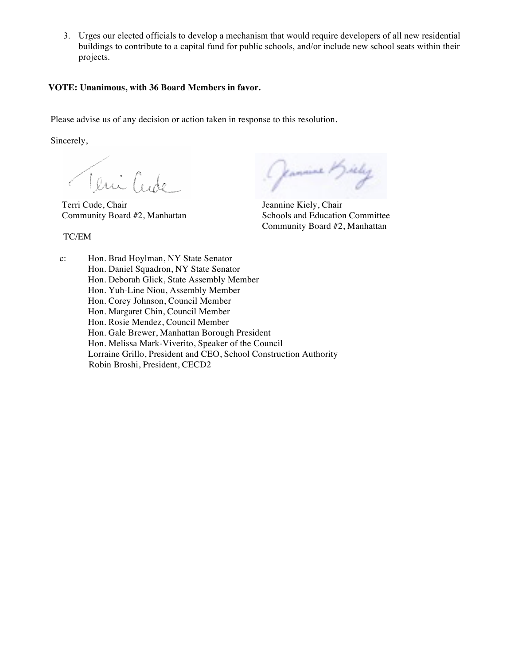3. Urges our elected officials to develop a mechanism that would require developers of all new residential buildings to contribute to a capital fund for public schools, and/or include new school seats within their projects.

### **VOTE: Unanimous, with 36 Board Members in favor.**

Please advise us of any decision or action taken in response to this resolution.

Sincerely,

TC/EM

Terri Cude Chair Jeannine Kiely, Chair

(Jeannine M)

Community Board #2, Manhattan Schools and Education Committee Community Board #2, Manhattan

c: Hon. Brad Hoylman, NY State Senator Hon. Daniel Squadron, NY State Senator Hon. Deborah Glick, State Assembly Member Hon. Yuh-Line Niou, Assembly Member Hon. Corey Johnson, Council Member Hon. Margaret Chin, Council Member Hon. Rosie Mendez, Council Member Hon. Gale Brewer, Manhattan Borough President Hon. Melissa Mark-Viverito, Speaker of the Council Lorraine Grillo, President and CEO, School Construction Authority Robin Broshi, President, CECD2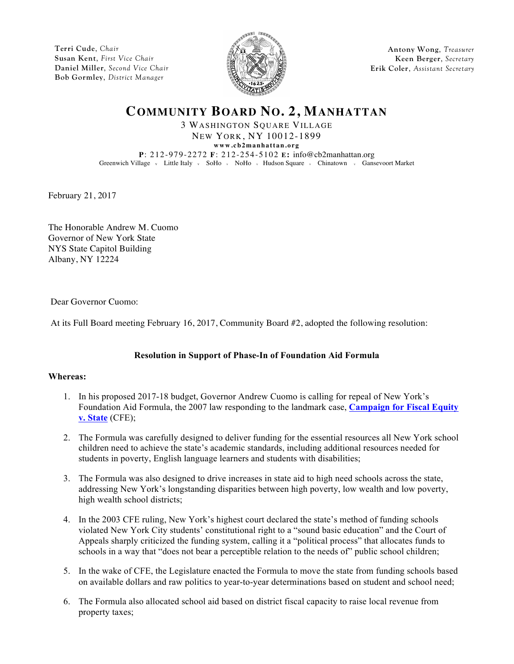**Terri Cude**, *Chair* **Susan Kent**, *First Vice Chair* **Daniel Miller**, *Second Vice Chair* **Bob Gormley**, *District Manager*



**Antony Wong**, *Treasurer* **Keen Berger**, *Secretary* **Erik Coler**, *Assistant Secretary*

# **COMMUNITY BOARD NO. 2, MANHATTAN**

3 WASHINGTON SQUARE VILLAGE NEW YORK, NY 10012-1899 **www.cb2manhattan.org P**: 212-979-2272 **F**: 212-254-5102 **E:** info@cb2manhattan.org Greenwich Village v Little Italy v SoHo v NoHo v Hudson Square v Chinatown v Gansevoort Market

February 21, 2017

The Honorable Andrew M. Cuomo Governor of New York State NYS State Capitol Building Albany, NY 12224

Dear Governor Cuomo:

At its Full Board meeting February 16, 2017, Community Board #2, adopted the following resolution:

## **Resolution in Support of Phase-In of Foundation Aid Formula**

### **Whereas:**

- 1. In his proposed 2017-18 budget, Governor Andrew Cuomo is calling for repeal of New York's Foundation Aid Formula, the 2007 law responding to the landmark case, **Campaign for Fiscal Equity v. State** (CFE);
- 2. The Formula was carefully designed to deliver funding for the essential resources all New York school children need to achieve the state's academic standards, including additional resources needed for students in poverty, English language learners and students with disabilities;
- 3. The Formula was also designed to drive increases in state aid to high need schools across the state, addressing New York's longstanding disparities between high poverty, low wealth and low poverty, high wealth school districts;
- 4. In the 2003 CFE ruling, New York's highest court declared the state's method of funding schools violated New York City students' constitutional right to a "sound basic education" and the Court of Appeals sharply criticized the funding system, calling it a "political process" that allocates funds to schools in a way that "does not bear a perceptible relation to the needs of" public school children;
- 5. In the wake of CFE, the Legislature enacted the Formula to move the state from funding schools based on available dollars and raw politics to year-to-year determinations based on student and school need;
- 6. The Formula also allocated school aid based on district fiscal capacity to raise local revenue from property taxes;